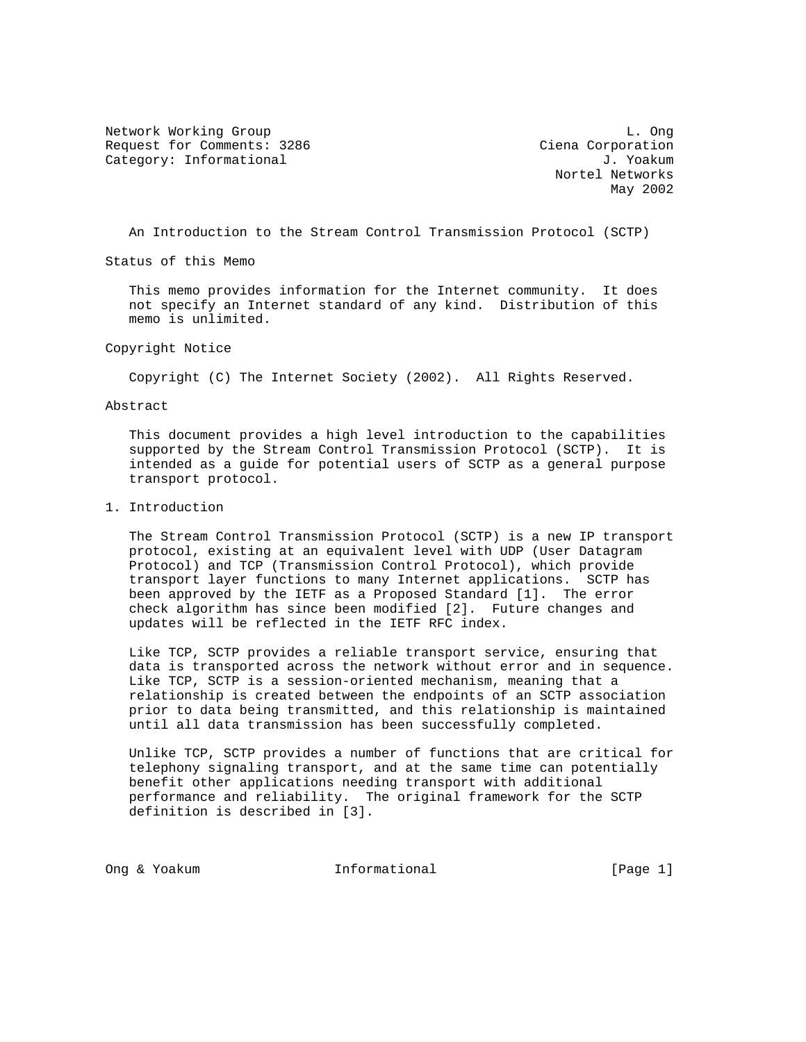Network Working Group and the contract of the contract of the contract of the contract of the contract of the contract of the contract of the contract of the contract of the contract of the contract of the contract of the Request for Comments: 3286 Ciena Corporation Category: Informational  $J.$  Yoakum

 Nortel Networks May 2002

An Introduction to the Stream Control Transmission Protocol (SCTP)

Status of this Memo

 This memo provides information for the Internet community. It does not specify an Internet standard of any kind. Distribution of this memo is unlimited.

Copyright Notice

Copyright (C) The Internet Society (2002). All Rights Reserved.

Abstract

 This document provides a high level introduction to the capabilities supported by the Stream Control Transmission Protocol (SCTP). It is intended as a guide for potential users of SCTP as a general purpose transport protocol.

1. Introduction

 The Stream Control Transmission Protocol (SCTP) is a new IP transport protocol, existing at an equivalent level with UDP (User Datagram Protocol) and TCP (Transmission Control Protocol), which provide transport layer functions to many Internet applications. SCTP has been approved by the IETF as a Proposed Standard [1]. The error check algorithm has since been modified [2]. Future changes and updates will be reflected in the IETF RFC index.

 Like TCP, SCTP provides a reliable transport service, ensuring that data is transported across the network without error and in sequence. Like TCP, SCTP is a session-oriented mechanism, meaning that a relationship is created between the endpoints of an SCTP association prior to data being transmitted, and this relationship is maintained until all data transmission has been successfully completed.

 Unlike TCP, SCTP provides a number of functions that are critical for telephony signaling transport, and at the same time can potentially benefit other applications needing transport with additional performance and reliability. The original framework for the SCTP definition is described in [3].

Ong & Yoakum 1nformational (Page 1)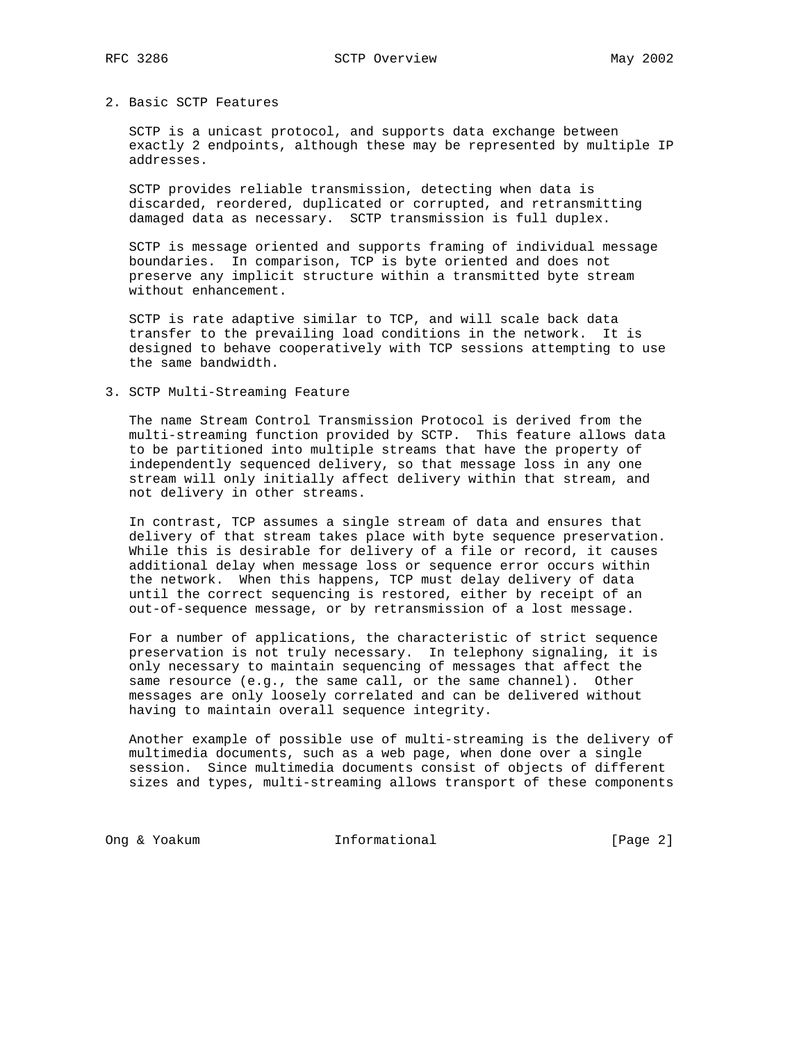# 2. Basic SCTP Features

 SCTP is a unicast protocol, and supports data exchange between exactly 2 endpoints, although these may be represented by multiple IP addresses.

 SCTP provides reliable transmission, detecting when data is discarded, reordered, duplicated or corrupted, and retransmitting damaged data as necessary. SCTP transmission is full duplex.

 SCTP is message oriented and supports framing of individual message boundaries. In comparison, TCP is byte oriented and does not preserve any implicit structure within a transmitted byte stream without enhancement.

 SCTP is rate adaptive similar to TCP, and will scale back data transfer to the prevailing load conditions in the network. It is designed to behave cooperatively with TCP sessions attempting to use the same bandwidth.

#### 3. SCTP Multi-Streaming Feature

 The name Stream Control Transmission Protocol is derived from the multi-streaming function provided by SCTP. This feature allows data to be partitioned into multiple streams that have the property of independently sequenced delivery, so that message loss in any one stream will only initially affect delivery within that stream, and not delivery in other streams.

 In contrast, TCP assumes a single stream of data and ensures that delivery of that stream takes place with byte sequence preservation. While this is desirable for delivery of a file or record, it causes additional delay when message loss or sequence error occurs within the network. When this happens, TCP must delay delivery of data until the correct sequencing is restored, either by receipt of an out-of-sequence message, or by retransmission of a lost message.

 For a number of applications, the characteristic of strict sequence preservation is not truly necessary. In telephony signaling, it is only necessary to maintain sequencing of messages that affect the same resource (e.g., the same call, or the same channel). Other messages are only loosely correlated and can be delivered without having to maintain overall sequence integrity.

 Another example of possible use of multi-streaming is the delivery of multimedia documents, such as a web page, when done over a single session. Since multimedia documents consist of objects of different sizes and types, multi-streaming allows transport of these components

Ong & Yoakum 1nformational 1110 [Page 2]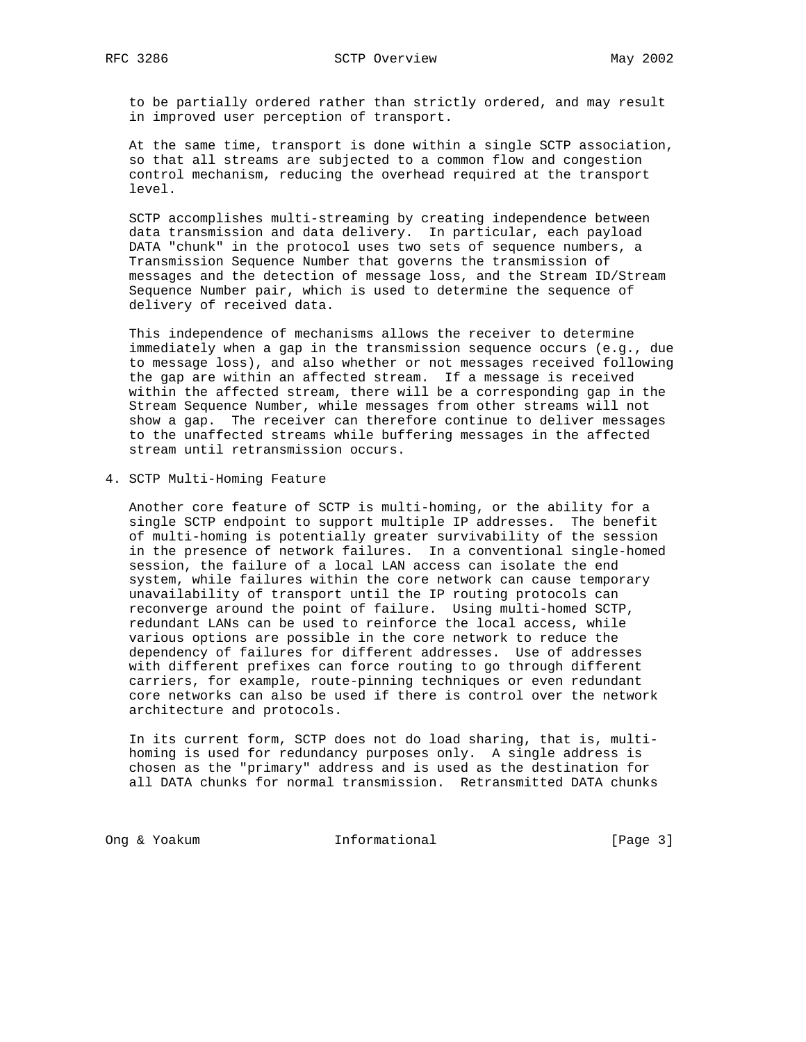to be partially ordered rather than strictly ordered, and may result in improved user perception of transport.

 At the same time, transport is done within a single SCTP association, so that all streams are subjected to a common flow and congestion control mechanism, reducing the overhead required at the transport level.

 SCTP accomplishes multi-streaming by creating independence between data transmission and data delivery. In particular, each payload DATA "chunk" in the protocol uses two sets of sequence numbers, a Transmission Sequence Number that governs the transmission of messages and the detection of message loss, and the Stream ID/Stream Sequence Number pair, which is used to determine the sequence of delivery of received data.

 This independence of mechanisms allows the receiver to determine immediately when a gap in the transmission sequence occurs (e.g., due to message loss), and also whether or not messages received following the gap are within an affected stream. If a message is received within the affected stream, there will be a corresponding gap in the Stream Sequence Number, while messages from other streams will not show a gap. The receiver can therefore continue to deliver messages to the unaffected streams while buffering messages in the affected stream until retransmission occurs.

### 4. SCTP Multi-Homing Feature

 Another core feature of SCTP is multi-homing, or the ability for a single SCTP endpoint to support multiple IP addresses. The benefit of multi-homing is potentially greater survivability of the session in the presence of network failures. In a conventional single-homed session, the failure of a local LAN access can isolate the end system, while failures within the core network can cause temporary unavailability of transport until the IP routing protocols can reconverge around the point of failure. Using multi-homed SCTP, redundant LANs can be used to reinforce the local access, while various options are possible in the core network to reduce the dependency of failures for different addresses. Use of addresses with different prefixes can force routing to go through different carriers, for example, route-pinning techniques or even redundant core networks can also be used if there is control over the network architecture and protocols.

 In its current form, SCTP does not do load sharing, that is, multi homing is used for redundancy purposes only. A single address is chosen as the "primary" address and is used as the destination for all DATA chunks for normal transmission. Retransmitted DATA chunks

Ong & Yoakum Informational [Page 3]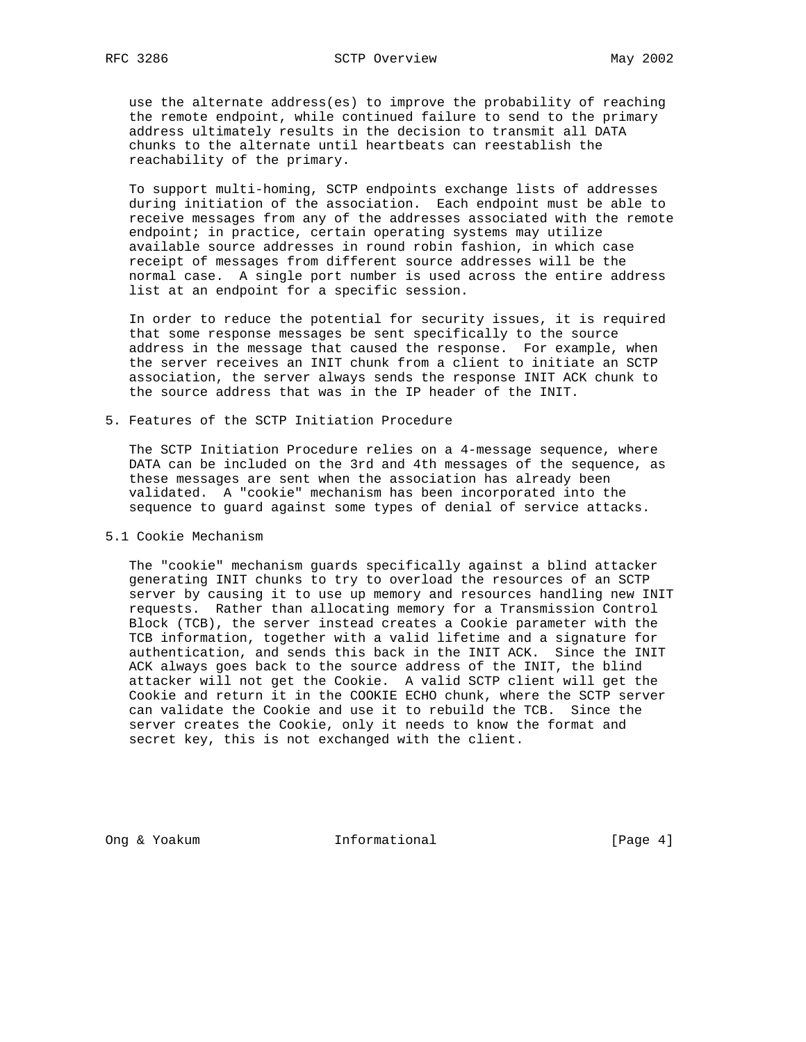use the alternate address(es) to improve the probability of reaching the remote endpoint, while continued failure to send to the primary address ultimately results in the decision to transmit all DATA chunks to the alternate until heartbeats can reestablish the reachability of the primary.

 To support multi-homing, SCTP endpoints exchange lists of addresses during initiation of the association. Each endpoint must be able to receive messages from any of the addresses associated with the remote endpoint; in practice, certain operating systems may utilize available source addresses in round robin fashion, in which case receipt of messages from different source addresses will be the normal case. A single port number is used across the entire address list at an endpoint for a specific session.

 In order to reduce the potential for security issues, it is required that some response messages be sent specifically to the source address in the message that caused the response. For example, when the server receives an INIT chunk from a client to initiate an SCTP association, the server always sends the response INIT ACK chunk to the source address that was in the IP header of the INIT.

5. Features of the SCTP Initiation Procedure

 The SCTP Initiation Procedure relies on a 4-message sequence, where DATA can be included on the 3rd and 4th messages of the sequence, as these messages are sent when the association has already been validated. A "cookie" mechanism has been incorporated into the sequence to guard against some types of denial of service attacks.

5.1 Cookie Mechanism

 The "cookie" mechanism guards specifically against a blind attacker generating INIT chunks to try to overload the resources of an SCTP server by causing it to use up memory and resources handling new INIT requests. Rather than allocating memory for a Transmission Control Block (TCB), the server instead creates a Cookie parameter with the TCB information, together with a valid lifetime and a signature for authentication, and sends this back in the INIT ACK. Since the INIT ACK always goes back to the source address of the INIT, the blind attacker will not get the Cookie. A valid SCTP client will get the Cookie and return it in the COOKIE ECHO chunk, where the SCTP server can validate the Cookie and use it to rebuild the TCB. Since the server creates the Cookie, only it needs to know the format and secret key, this is not exchanged with the client.

Ong & Yoakum Informational [Page 4]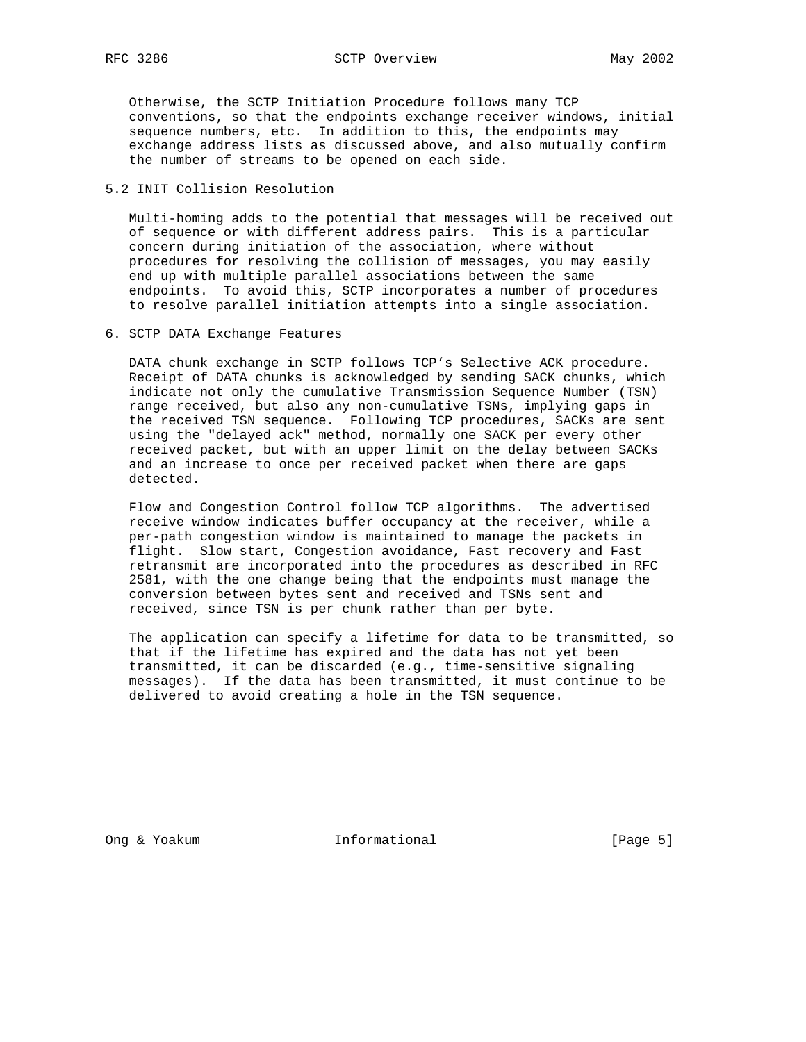Otherwise, the SCTP Initiation Procedure follows many TCP conventions, so that the endpoints exchange receiver windows, initial sequence numbers, etc. In addition to this, the endpoints may exchange address lists as discussed above, and also mutually confirm the number of streams to be opened on each side.

## 5.2 INIT Collision Resolution

 Multi-homing adds to the potential that messages will be received out of sequence or with different address pairs. This is a particular concern during initiation of the association, where without procedures for resolving the collision of messages, you may easily end up with multiple parallel associations between the same endpoints. To avoid this, SCTP incorporates a number of procedures to resolve parallel initiation attempts into a single association.

6. SCTP DATA Exchange Features

 DATA chunk exchange in SCTP follows TCP's Selective ACK procedure. Receipt of DATA chunks is acknowledged by sending SACK chunks, which indicate not only the cumulative Transmission Sequence Number (TSN) range received, but also any non-cumulative TSNs, implying gaps in the received TSN sequence. Following TCP procedures, SACKs are sent using the "delayed ack" method, normally one SACK per every other received packet, but with an upper limit on the delay between SACKs and an increase to once per received packet when there are gaps detected.

 Flow and Congestion Control follow TCP algorithms. The advertised receive window indicates buffer occupancy at the receiver, while a per-path congestion window is maintained to manage the packets in flight. Slow start, Congestion avoidance, Fast recovery and Fast retransmit are incorporated into the procedures as described in RFC 2581, with the one change being that the endpoints must manage the conversion between bytes sent and received and TSNs sent and received, since TSN is per chunk rather than per byte.

 The application can specify a lifetime for data to be transmitted, so that if the lifetime has expired and the data has not yet been transmitted, it can be discarded (e.g., time-sensitive signaling messages). If the data has been transmitted, it must continue to be delivered to avoid creating a hole in the TSN sequence.

Ong & Yoakum Informational [Page 5]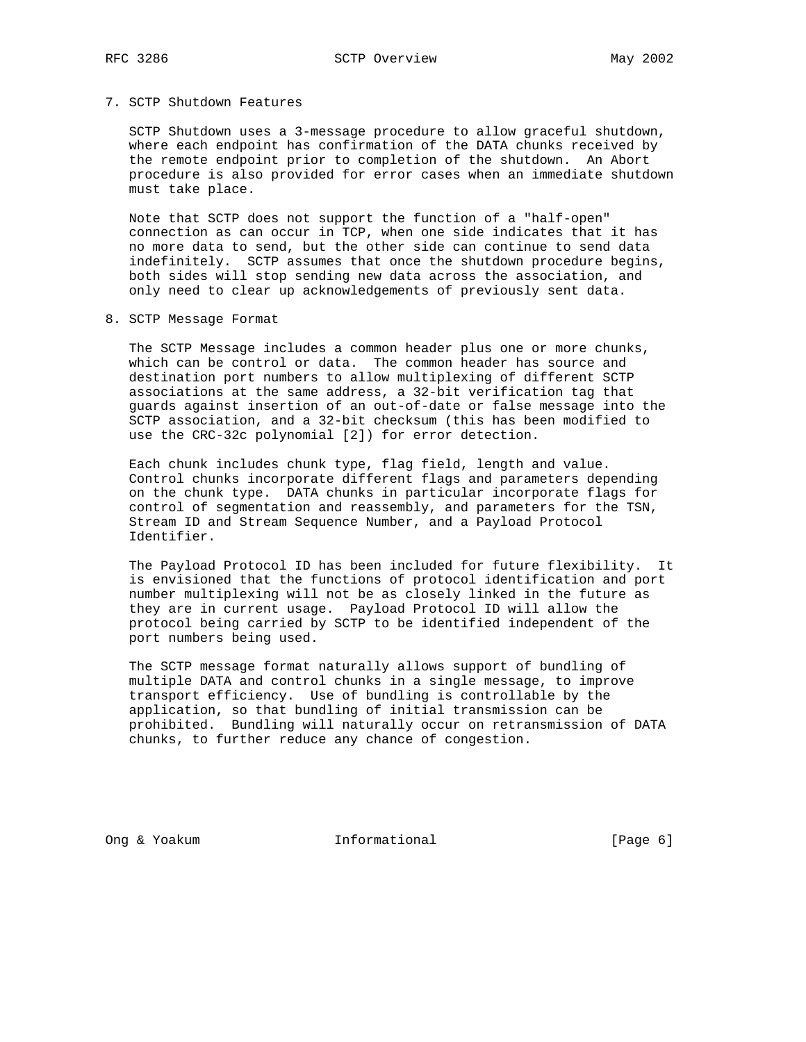## 7. SCTP Shutdown Features

 SCTP Shutdown uses a 3-message procedure to allow graceful shutdown, where each endpoint has confirmation of the DATA chunks received by the remote endpoint prior to completion of the shutdown. An Abort procedure is also provided for error cases when an immediate shutdown must take place.

 Note that SCTP does not support the function of a "half-open" connection as can occur in TCP, when one side indicates that it has no more data to send, but the other side can continue to send data indefinitely. SCTP assumes that once the shutdown procedure begins, both sides will stop sending new data across the association, and only need to clear up acknowledgements of previously sent data.

8. SCTP Message Format

 The SCTP Message includes a common header plus one or more chunks, which can be control or data. The common header has source and destination port numbers to allow multiplexing of different SCTP associations at the same address, a 32-bit verification tag that guards against insertion of an out-of-date or false message into the SCTP association, and a 32-bit checksum (this has been modified to use the CRC-32c polynomial [2]) for error detection.

 Each chunk includes chunk type, flag field, length and value. Control chunks incorporate different flags and parameters depending on the chunk type. DATA chunks in particular incorporate flags for control of segmentation and reassembly, and parameters for the TSN, Stream ID and Stream Sequence Number, and a Payload Protocol Identifier.

 The Payload Protocol ID has been included for future flexibility. It is envisioned that the functions of protocol identification and port number multiplexing will not be as closely linked in the future as they are in current usage. Payload Protocol ID will allow the protocol being carried by SCTP to be identified independent of the port numbers being used.

 The SCTP message format naturally allows support of bundling of multiple DATA and control chunks in a single message, to improve transport efficiency. Use of bundling is controllable by the application, so that bundling of initial transmission can be prohibited. Bundling will naturally occur on retransmission of DATA chunks, to further reduce any chance of congestion.

Ong & Yoakum Informational [Page 6]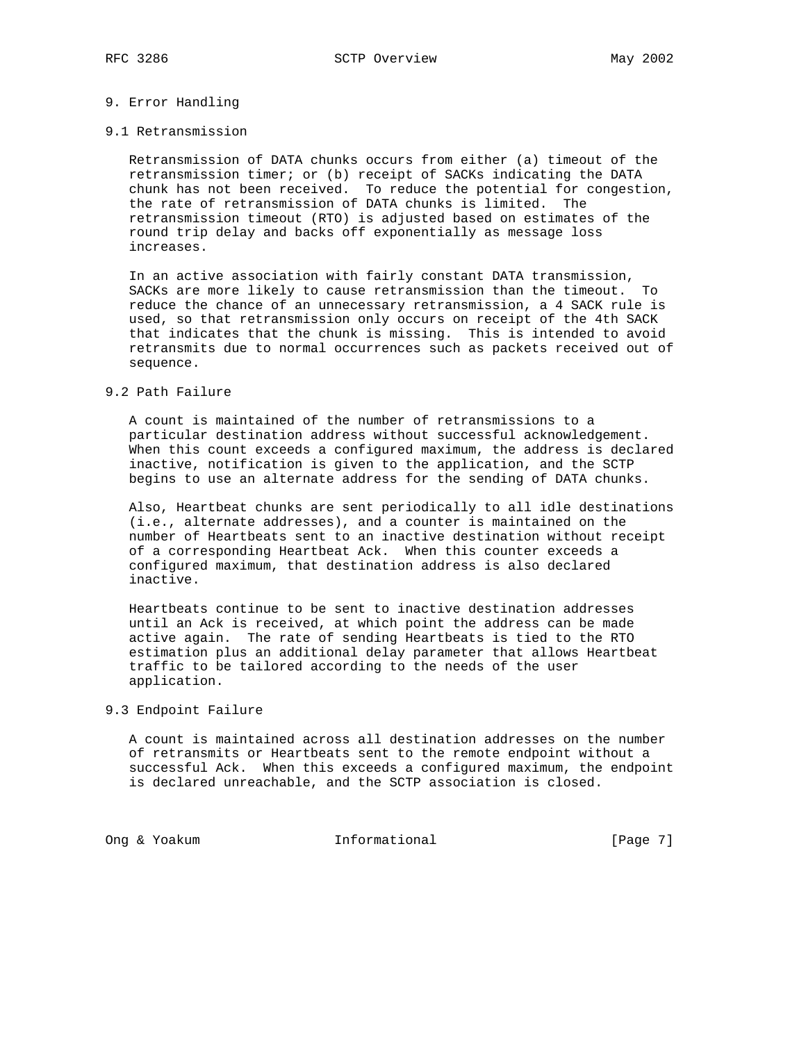## 9. Error Handling

#### 9.1 Retransmission

 Retransmission of DATA chunks occurs from either (a) timeout of the retransmission timer; or (b) receipt of SACKs indicating the DATA chunk has not been received. To reduce the potential for congestion, the rate of retransmission of DATA chunks is limited. The retransmission timeout (RTO) is adjusted based on estimates of the round trip delay and backs off exponentially as message loss increases.

 In an active association with fairly constant DATA transmission, SACKs are more likely to cause retransmission than the timeout. To reduce the chance of an unnecessary retransmission, a 4 SACK rule is used, so that retransmission only occurs on receipt of the 4th SACK that indicates that the chunk is missing. This is intended to avoid retransmits due to normal occurrences such as packets received out of sequence.

# 9.2 Path Failure

 A count is maintained of the number of retransmissions to a particular destination address without successful acknowledgement. When this count exceeds a configured maximum, the address is declared inactive, notification is given to the application, and the SCTP begins to use an alternate address for the sending of DATA chunks.

 Also, Heartbeat chunks are sent periodically to all idle destinations (i.e., alternate addresses), and a counter is maintained on the number of Heartbeats sent to an inactive destination without receipt of a corresponding Heartbeat Ack. When this counter exceeds a configured maximum, that destination address is also declared inactive.

 Heartbeats continue to be sent to inactive destination addresses until an Ack is received, at which point the address can be made active again. The rate of sending Heartbeats is tied to the RTO estimation plus an additional delay parameter that allows Heartbeat traffic to be tailored according to the needs of the user application.

## 9.3 Endpoint Failure

 A count is maintained across all destination addresses on the number of retransmits or Heartbeats sent to the remote endpoint without a successful Ack. When this exceeds a configured maximum, the endpoint is declared unreachable, and the SCTP association is closed.

Ong & Yoakum Informational [Page 7]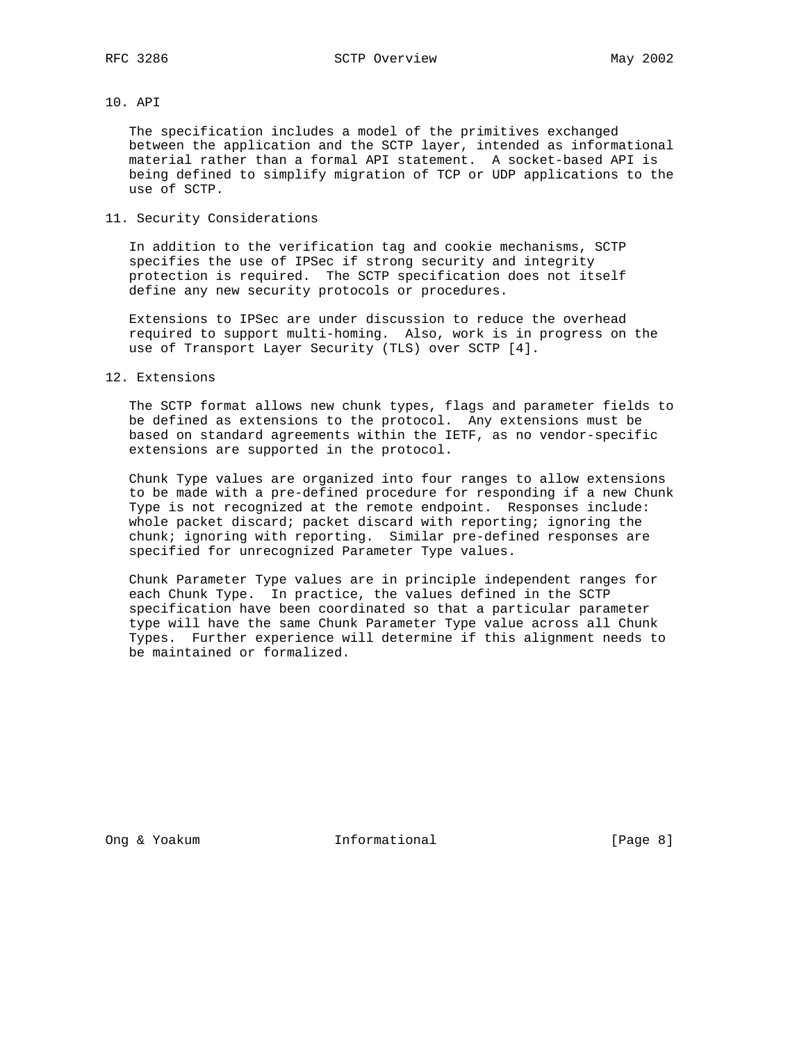# 10. API

 The specification includes a model of the primitives exchanged between the application and the SCTP layer, intended as informational material rather than a formal API statement. A socket-based API is being defined to simplify migration of TCP or UDP applications to the use of SCTP.

11. Security Considerations

 In addition to the verification tag and cookie mechanisms, SCTP specifies the use of IPSec if strong security and integrity protection is required. The SCTP specification does not itself define any new security protocols or procedures.

 Extensions to IPSec are under discussion to reduce the overhead required to support multi-homing. Also, work is in progress on the use of Transport Layer Security (TLS) over SCTP [4].

12. Extensions

 The SCTP format allows new chunk types, flags and parameter fields to be defined as extensions to the protocol. Any extensions must be based on standard agreements within the IETF, as no vendor-specific extensions are supported in the protocol.

 Chunk Type values are organized into four ranges to allow extensions to be made with a pre-defined procedure for responding if a new Chunk Type is not recognized at the remote endpoint. Responses include: whole packet discard; packet discard with reporting; ignoring the chunk; ignoring with reporting. Similar pre-defined responses are specified for unrecognized Parameter Type values.

 Chunk Parameter Type values are in principle independent ranges for each Chunk Type. In practice, the values defined in the SCTP specification have been coordinated so that a particular parameter type will have the same Chunk Parameter Type value across all Chunk Types. Further experience will determine if this alignment needs to be maintained or formalized.

Ong & Yoakum Informational [Page 8]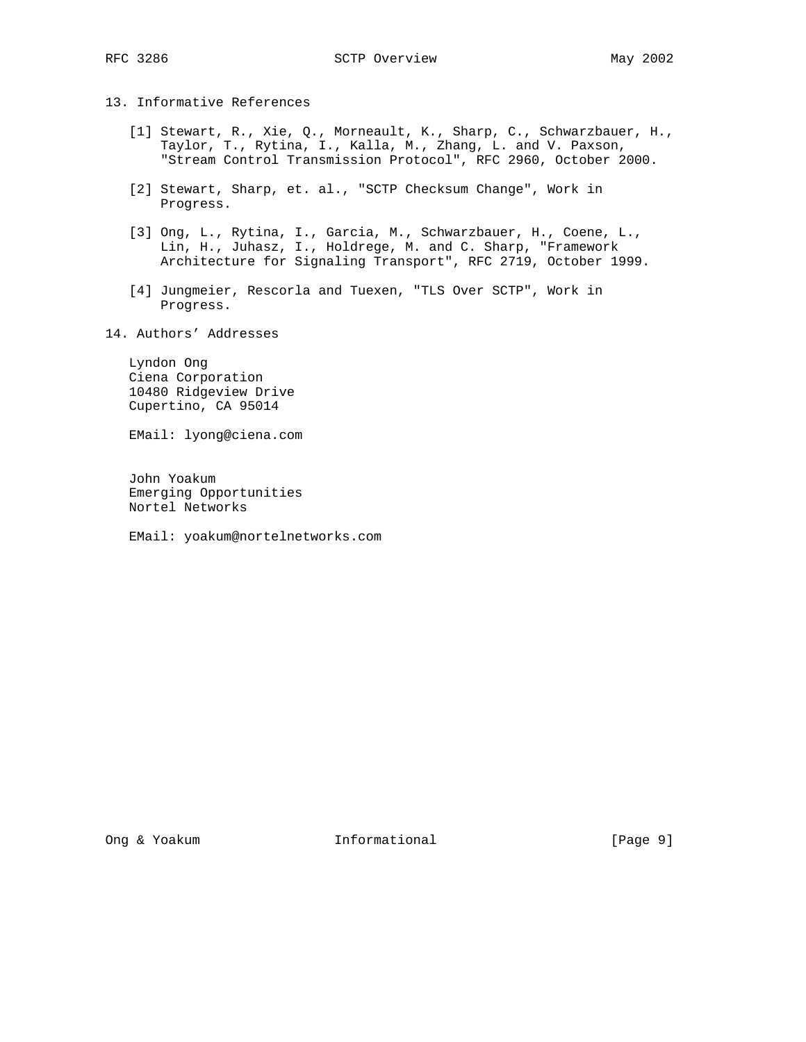13. Informative References

- [1] Stewart, R., Xie, Q., Morneault, K., Sharp, C., Schwarzbauer, H., Taylor, T., Rytina, I., Kalla, M., Zhang, L. and V. Paxson, "Stream Control Transmission Protocol", RFC 2960, October 2000.
- [2] Stewart, Sharp, et. al., "SCTP Checksum Change", Work in Progress.
- [3] Ong, L., Rytina, I., Garcia, M., Schwarzbauer, H., Coene, L., Lin, H., Juhasz, I., Holdrege, M. and C. Sharp, "Framework Architecture for Signaling Transport", RFC 2719, October 1999.
- [4] Jungmeier, Rescorla and Tuexen, "TLS Over SCTP", Work in Progress.
- 14. Authors' Addresses

 Lyndon Ong Ciena Corporation 10480 Ridgeview Drive Cupertino, CA 95014

EMail: lyong@ciena.com

 John Yoakum Emerging Opportunities Nortel Networks

EMail: yoakum@nortelnetworks.com

Ong & Yoakum Informational [Page 9]